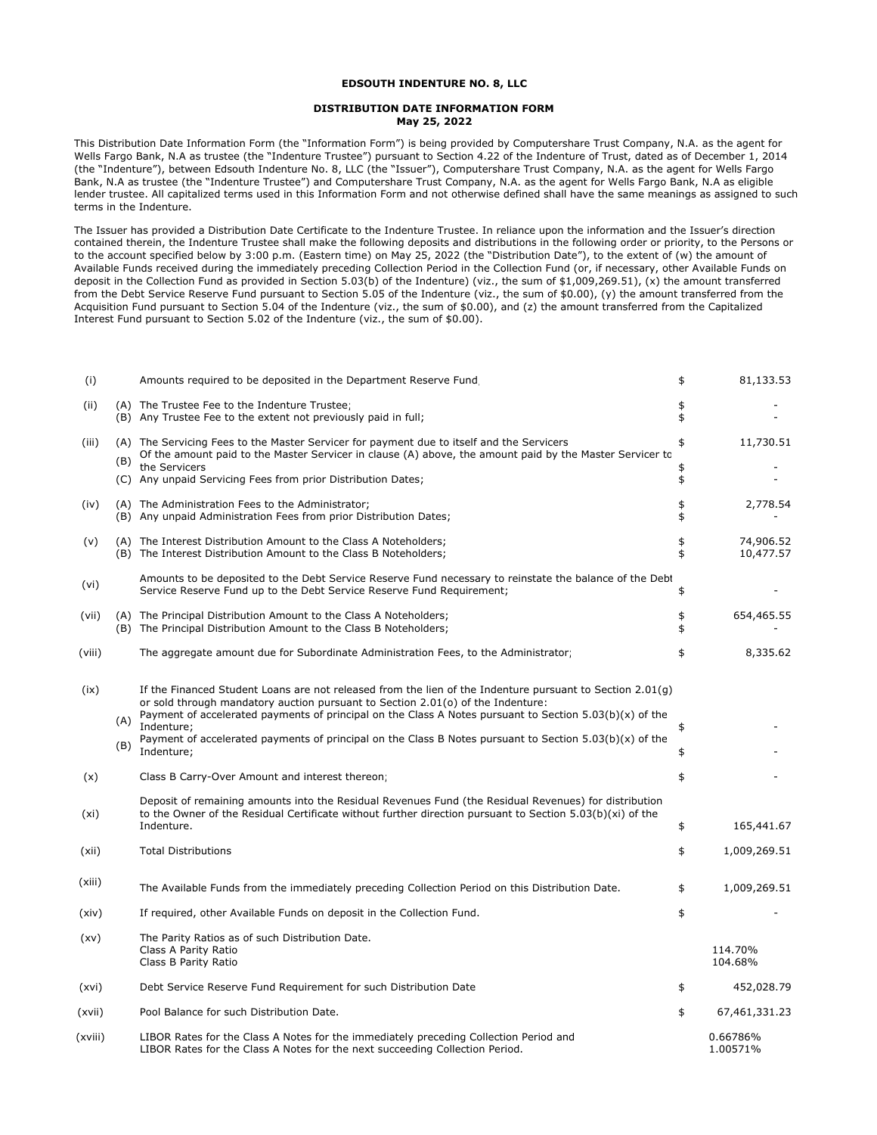## **EDSOUTH INDENTURE NO. 8, LLC**

## **DISTRIBUTION DATE INFORMATION FORM May 25, 2022**

This Distribution Date Information Form (the "Information Form") is being provided by Computershare Trust Company, N.A. as the agent for Wells Fargo Bank, N.A as trustee (the "Indenture Trustee") pursuant to Section 4.22 of the Indenture of Trust, dated as of December 1, 2014 (the "Indenture"), between Edsouth Indenture No. 8, LLC (the "Issuer"), Computershare Trust Company, N.A. as the agent for Wells Fargo Bank, N.A as trustee (the "Indenture Trustee") and Computershare Trust Company, N.A. as the agent for Wells Fargo Bank, N.A as eligible lender trustee. All capitalized terms used in this Information Form and not otherwise defined shall have the same meanings as assigned to such terms in the Indenture.

The Issuer has provided a Distribution Date Certificate to the Indenture Trustee. In reliance upon the information and the Issuer's direction contained therein, the Indenture Trustee shall make the following deposits and distributions in the following order or priority, to the Persons or to the account specified below by 3:00 p.m. (Eastern time) on May 25, 2022 (the "Distribution Date"), to the extent of (w) the amount of Available Funds received during the immediately preceding Collection Period in the Collection Fund (or, if necessary, other Available Funds on deposit in the Collection Fund as provided in Section 5.03(b) of the Indenture) (viz., the sum of \$1,009,269.51), (x) the amount transferred from the Debt Service Reserve Fund pursuant to Section 5.05 of the Indenture (viz., the sum of \$0.00), (y) the amount transferred from the Acquisition Fund pursuant to Section 5.04 of the Indenture (viz., the sum of \$0.00), and (z) the amount transferred from the Capitalized Interest Fund pursuant to Section 5.02 of the Indenture (viz., the sum of \$0.00).

| (i)     |     | Amounts required to be deposited in the Department Reserve Fund                                                                                                                                                                                                                                           | \$       | 81,133.53              |
|---------|-----|-----------------------------------------------------------------------------------------------------------------------------------------------------------------------------------------------------------------------------------------------------------------------------------------------------------|----------|------------------------|
| (ii)    |     | (A) The Trustee Fee to the Indenture Trustee<br>(B) Any Trustee Fee to the extent not previously paid in full;                                                                                                                                                                                            | \$<br>\$ |                        |
| (iii)   |     | (A) The Servicing Fees to the Master Servicer for payment due to itself and the Servicers                                                                                                                                                                                                                 | \$       | 11,730.51              |
|         | (B) | Of the amount paid to the Master Servicer in clause (A) above, the amount paid by the Master Servicer to<br>the Servicers                                                                                                                                                                                 | \$       |                        |
|         |     | (C) Any unpaid Servicing Fees from prior Distribution Dates;                                                                                                                                                                                                                                              | \$       |                        |
| (iv)    |     | (A) The Administration Fees to the Administrator;<br>(B) Any unpaid Administration Fees from prior Distribution Dates;                                                                                                                                                                                    | \$<br>\$ | 2,778.54               |
| (v)     |     | (A) The Interest Distribution Amount to the Class A Noteholders;<br>(B) The Interest Distribution Amount to the Class B Noteholders;                                                                                                                                                                      | \$<br>\$ | 74,906.52<br>10,477.57 |
| (vi)    |     | Amounts to be deposited to the Debt Service Reserve Fund necessary to reinstate the balance of the Debt<br>Service Reserve Fund up to the Debt Service Reserve Fund Requirement;                                                                                                                          | \$       |                        |
| (vii)   |     | (A) The Principal Distribution Amount to the Class A Noteholders;                                                                                                                                                                                                                                         | \$       | 654,465.55             |
|         |     | (B) The Principal Distribution Amount to the Class B Noteholders;                                                                                                                                                                                                                                         | \$       |                        |
| (viii)  |     | The aggregate amount due for Subordinate Administration Fees, to the Administrator;                                                                                                                                                                                                                       | \$       | 8,335.62               |
| (ix)    |     | If the Financed Student Loans are not released from the lien of the Indenture pursuant to Section 2.01(q)<br>or sold through mandatory auction pursuant to Section 2.01(o) of the Indenture:<br>Payment of accelerated payments of principal on the Class A Notes pursuant to Section $5.03(b)(x)$ of the |          |                        |
|         | (A) | Indenture:<br>Payment of accelerated payments of principal on the Class B Notes pursuant to Section $5.03(b)(x)$ of the                                                                                                                                                                                   | \$       |                        |
|         | (B) | Indenture:                                                                                                                                                                                                                                                                                                | \$       |                        |
| (x)     |     | Class B Carry-Over Amount and interest thereon;                                                                                                                                                                                                                                                           | \$       |                        |
| (xi)    |     | Deposit of remaining amounts into the Residual Revenues Fund (the Residual Revenues) for distribution<br>to the Owner of the Residual Certificate without further direction pursuant to Section 5.03(b)(xi) of the                                                                                        |          |                        |
|         |     | Indenture.                                                                                                                                                                                                                                                                                                | \$       | 165,441.67             |
| (xii)   |     | <b>Total Distributions</b>                                                                                                                                                                                                                                                                                | \$       | 1,009,269.51           |
| (xiii)  |     | The Available Funds from the immediately preceding Collection Period on this Distribution Date.                                                                                                                                                                                                           | \$       | 1,009,269.51           |
| (xiv)   |     | If required, other Available Funds on deposit in the Collection Fund.                                                                                                                                                                                                                                     | \$       |                        |
| (xv)    |     | The Parity Ratios as of such Distribution Date.<br>Class A Parity Ratio<br>Class B Parity Ratio                                                                                                                                                                                                           |          | 114.70%<br>104.68%     |
| (xvi)   |     | Debt Service Reserve Fund Requirement for such Distribution Date                                                                                                                                                                                                                                          | \$       | 452,028.79             |
| (xvii)  |     | Pool Balance for such Distribution Date.                                                                                                                                                                                                                                                                  | \$       | 67,461,331.23          |
| (xviii) |     | LIBOR Rates for the Class A Notes for the immediately preceding Collection Period and<br>LIBOR Rates for the Class A Notes for the next succeeding Collection Period.                                                                                                                                     |          | 0.66786%<br>1.00571%   |